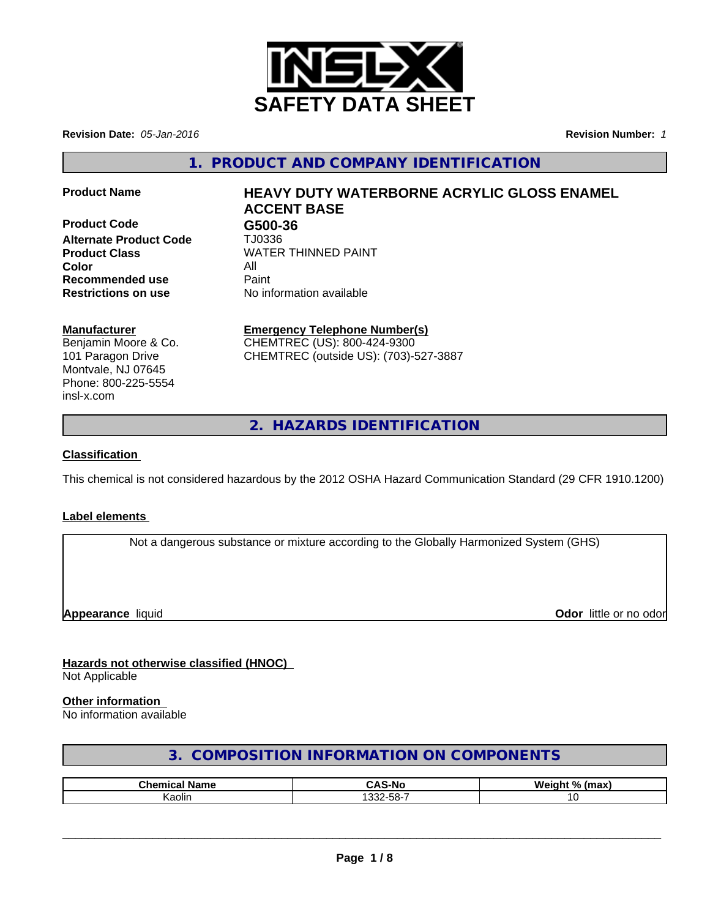

**Revision Date:** *05-Jan-2016* **Revision Number:** *1*

**1. PRODUCT AND COMPANY IDENTIFICATION**

**Product Code G500-36 Alternate Product Code** TJ0336 **Color** All **Recommended use Paint Restrictions on use** No information available

# **Product Name HEAVY DUTY WATERBORNE ACRYLIC GLOSS ENAMEL ACCENT BASE**

**Product Class** WATER THINNED PAINT

## **Manufacturer**

Benjamin Moore & Co. 101 Paragon Drive Montvale, NJ 07645 Phone: 800-225-5554 insl-x.com

## **Emergency Telephone Number(s)**

CHEMTREC (US): 800-424-9300 CHEMTREC (outside US): (703)-527-3887

**2. HAZARDS IDENTIFICATION**

## **Classification**

This chemical is not considered hazardous by the 2012 OSHA Hazard Communication Standard (29 CFR 1910.1200)

## **Label elements**

Not a dangerous substance or mixture according to the Globally Harmonized System (GHS)

**Appearance** liquid **Odor in the original of the original of the original of the original of the original of the original of the original of the original of the original of the original of the original of the original of t** 

### **Hazards not otherwise classified (HNOC)** Not Applicable

## **Other information**

No information available

## **3. COMPOSITION INFORMATION ON COMPONENTS**

| $7$ <sub>n</sub> | -NC<br>$\sim$ $\sim$      | W.<br>$\mathbf{a}$ |
|------------------|---------------------------|--------------------|
| Kaolin           | $\sim$<br>$ -$<br>കാ∠-ററ- |                    |

 $\overline{\phantom{a}}$  ,  $\overline{\phantom{a}}$  ,  $\overline{\phantom{a}}$  ,  $\overline{\phantom{a}}$  ,  $\overline{\phantom{a}}$  ,  $\overline{\phantom{a}}$  ,  $\overline{\phantom{a}}$  ,  $\overline{\phantom{a}}$  ,  $\overline{\phantom{a}}$  ,  $\overline{\phantom{a}}$  ,  $\overline{\phantom{a}}$  ,  $\overline{\phantom{a}}$  ,  $\overline{\phantom{a}}$  ,  $\overline{\phantom{a}}$  ,  $\overline{\phantom{a}}$  ,  $\overline{\phantom{a}}$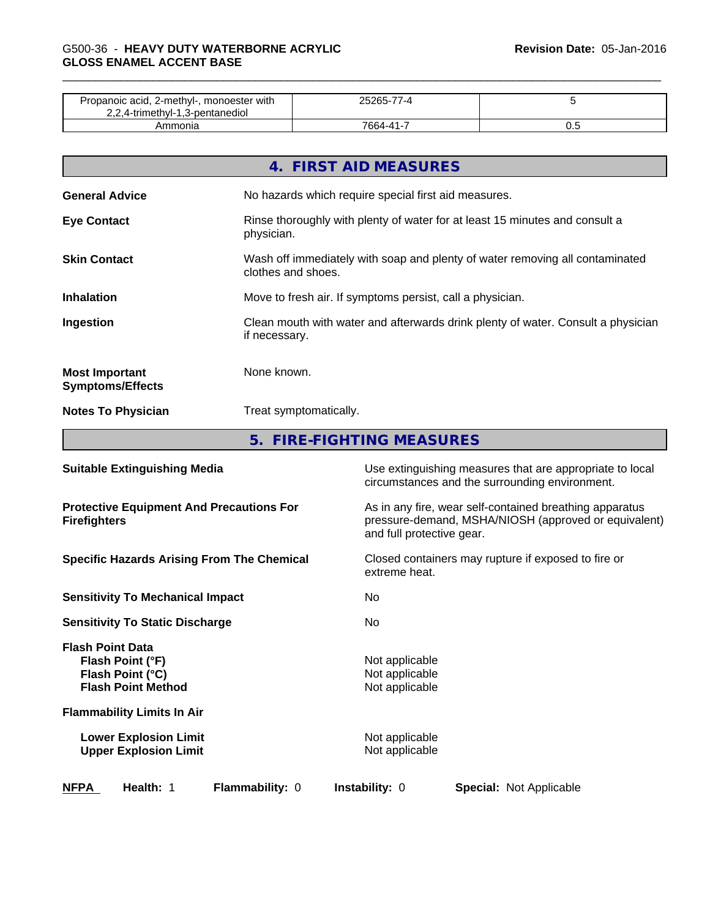## \_\_\_\_\_\_\_\_\_\_\_\_\_\_\_\_\_\_\_\_\_\_\_\_\_\_\_\_\_\_\_\_\_\_\_\_\_\_\_\_\_\_\_\_\_\_\_\_\_\_\_\_\_\_\_\_\_\_\_\_\_\_\_\_\_\_\_\_\_\_\_\_\_\_\_\_\_\_\_\_\_\_\_\_\_\_\_\_\_\_\_\_\_ G500-36 - **HEAVY DUTY WATERBORNE ACRYLIC GLOSS ENAMEL ACCENT BASE**

| Propanoic acid, 2-methyl-, monoester with<br>2,2,4-trimethyl-1,3-pentanediol |          |    |
|------------------------------------------------------------------------------|----------|----|
| Ammonia                                                                      | 7664-41- | ◡. |

|                                                  | 4. FIRST AID MEASURES                                                                              |
|--------------------------------------------------|----------------------------------------------------------------------------------------------------|
| <b>General Advice</b>                            | No hazards which require special first aid measures.                                               |
| <b>Eye Contact</b>                               | Rinse thoroughly with plenty of water for at least 15 minutes and consult a<br>physician.          |
| <b>Skin Contact</b>                              | Wash off immediately with soap and plenty of water removing all contaminated<br>clothes and shoes. |
| <b>Inhalation</b>                                | Move to fresh air. If symptoms persist, call a physician.                                          |
| Ingestion                                        | Clean mouth with water and afterwards drink plenty of water. Consult a physician<br>if necessary.  |
| <b>Most Important</b><br><b>Symptoms/Effects</b> | None known.                                                                                        |
| <b>Notes To Physician</b>                        | Treat symptomatically.                                                                             |
|                                                  | 5. FIRE-FIGHTING MEASURES                                                                          |

| <b>Suitable Extinguishing Media</b>                                                          | Use extinguishing measures that are appropriate to local<br>circumstances and the surrounding environment.                                   |
|----------------------------------------------------------------------------------------------|----------------------------------------------------------------------------------------------------------------------------------------------|
| <b>Protective Equipment And Precautions For</b><br><b>Firefighters</b>                       | As in any fire, wear self-contained breathing apparatus<br>pressure-demand, MSHA/NIOSH (approved or equivalent)<br>and full protective gear. |
| <b>Specific Hazards Arising From The Chemical</b>                                            | Closed containers may rupture if exposed to fire or<br>extreme heat.                                                                         |
| <b>Sensitivity To Mechanical Impact</b>                                                      | No.                                                                                                                                          |
| <b>Sensitivity To Static Discharge</b>                                                       | No                                                                                                                                           |
| <b>Flash Point Data</b><br>Flash Point (°F)<br>Flash Point (°C)<br><b>Flash Point Method</b> | Not applicable<br>Not applicable<br>Not applicable                                                                                           |
| <b>Flammability Limits In Air</b>                                                            |                                                                                                                                              |
| <b>Lower Explosion Limit</b><br><b>Upper Explosion Limit</b>                                 | Not applicable<br>Not applicable                                                                                                             |
| <b>NFPA</b><br>Health: 1<br><b>Flammability: 0</b>                                           | <b>Instability: 0</b><br><b>Special: Not Applicable</b>                                                                                      |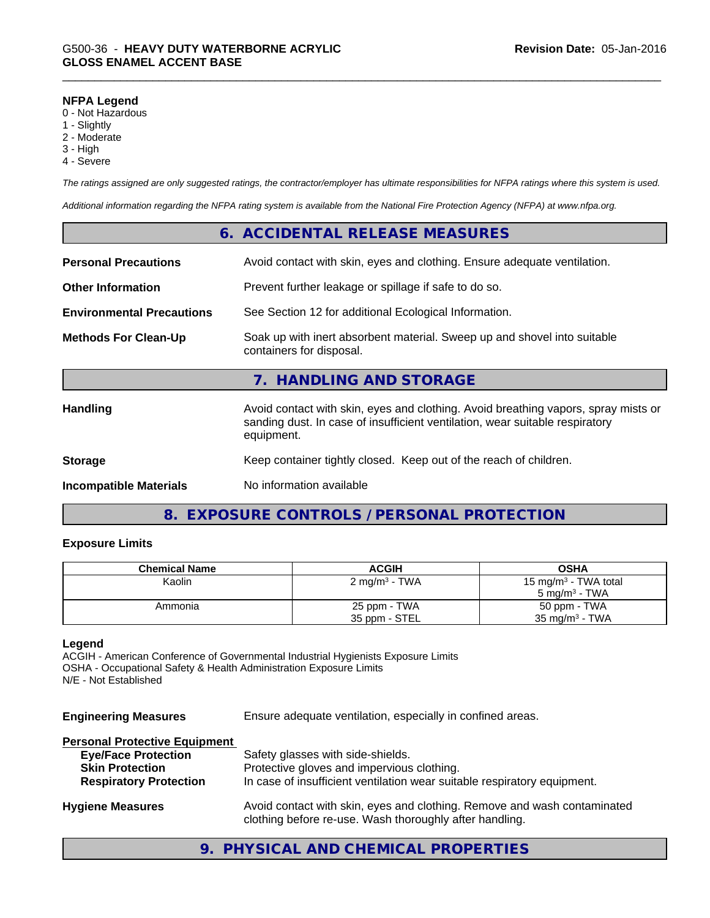#### **NFPA Legend**

- 0 Not Hazardous
- 1 Slightly
- 2 Moderate
- 3 High
- 4 Severe

*The ratings assigned are only suggested ratings, the contractor/employer has ultimate responsibilities for NFPA ratings where this system is used.*

*Additional information regarding the NFPA rating system is available from the National Fire Protection Agency (NFPA) at www.nfpa.org.*

|                                  |                                                                          | 6. ACCIDENTAL RELEASE MEASURES                                                                                                                                                   |  |
|----------------------------------|--------------------------------------------------------------------------|----------------------------------------------------------------------------------------------------------------------------------------------------------------------------------|--|
| <b>Personal Precautions</b>      | Avoid contact with skin, eyes and clothing. Ensure adequate ventilation. |                                                                                                                                                                                  |  |
| <b>Other Information</b>         |                                                                          | Prevent further leakage or spillage if safe to do so.                                                                                                                            |  |
| <b>Environmental Precautions</b> |                                                                          | See Section 12 for additional Ecological Information.                                                                                                                            |  |
| <b>Methods For Clean-Up</b>      |                                                                          | Soak up with inert absorbent material. Sweep up and shovel into suitable<br>containers for disposal.                                                                             |  |
|                                  |                                                                          | 7. HANDLING AND STORAGE                                                                                                                                                          |  |
| <b>Handling</b>                  |                                                                          | Avoid contact with skin, eyes and clothing. Avoid breathing vapors, spray mists or<br>sanding dust. In case of insufficient ventilation, wear suitable respiratory<br>equipment. |  |
| <b>Storage</b>                   |                                                                          | Keep container tightly closed. Keep out of the reach of children.                                                                                                                |  |
| <b>Incompatible Materials</b>    |                                                                          | No information available                                                                                                                                                         |  |

## **8. EXPOSURE CONTROLS / PERSONAL PROTECTION**

#### **Exposure Limits**

| <b>Chemical Name</b> | ACGIH                     | <b>OSHA</b>                      |
|----------------------|---------------------------|----------------------------------|
| Kaolin               | 2 mg/m <sup>3</sup> - TWA | 15 mg/m <sup>3</sup> - TWA total |
|                      |                           | $5 \text{ ma/m}^3$ - TWA         |
| Ammonia              | 25 ppm - TWA              | 50 ppm - TWA                     |
|                      | 35 ppm - STEL             | $35 \text{ mg/m}^3$ - TWA        |

## **Legend**

ACGIH - American Conference of Governmental Industrial Hygienists Exposure Limits OSHA - Occupational Safety & Health Administration Exposure Limits N/E - Not Established

**Engineering Measures** Ensure adequate ventilation, especially in confined areas.

### **Personal Protective Equipment**

| <b>Eye/Face Protection</b>    | Safety glasses with side-shields.                                                                                                   |
|-------------------------------|-------------------------------------------------------------------------------------------------------------------------------------|
| <b>Skin Protection</b>        | Protective gloves and impervious clothing.                                                                                          |
| <b>Respiratory Protection</b> | In case of insufficient ventilation wear suitable respiratory equipment.                                                            |
| <b>Hygiene Measures</b>       | Avoid contact with skin, eyes and clothing. Remove and wash contaminated<br>clothing before re-use. Wash thoroughly after handling. |

## **9. PHYSICAL AND CHEMICAL PROPERTIES**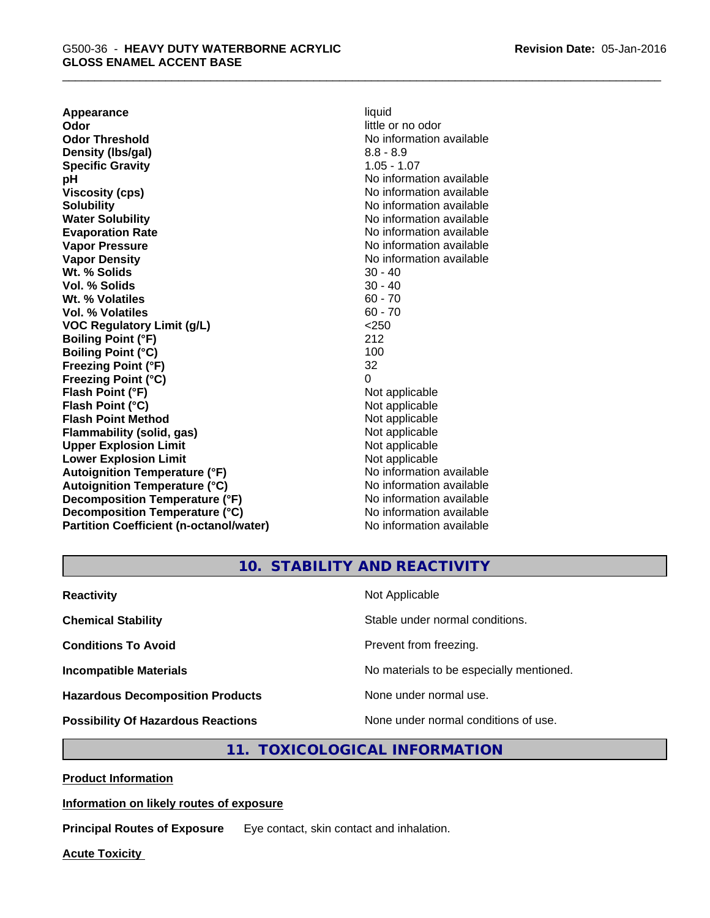**Appearance** liquid **Odor** little or no odor **Odor Threshold No information available No information available Density (lbs/gal)** 8.8 - 8.9 **Specific Gravity** 1.05 - 1.07 **pH** No information available **Viscosity (cps)** No information available **Solubility Note 2008 Note 2008 Note 2008 Note 2008 Note 2008 Note 2008 Note 2008 Note 2008 Note 2008 Note 2008 Note 2008 Note 2008 Note 2008 Note 2008 Note 2008 Note 2008 Note 2008 Note Water Solubility Water Solubility Water Solubility No information available Evaporation Rate No information available No information available Vapor Pressure** No information available **Vapor Density Vapor Density No information available Wt. % Solids** 30 - 40 **Vol. % Solids** 30 - 40 **Wt. % Volatiles** 60 - 70 **Vol. % Volatiles** 60 - 70 **VOC Regulatory Limit (g/L)** <250 **Boiling Point (°F)** 212 **Boiling Point (°C)** 100 **Freezing Point (°F)** 32 **Freezing Point (°C)** 0 **Flash Point (°F)** Not applicable **Flash Point (°C)** Not applicable **Flash Point Method** Not applicable **Flammability (solid, gas)** Not applicable **Upper Explosion Limit**<br> **Lower Explosion Limit**<br> **Lower Explosion Limit Lower Explosion Limit**<br> **Autoignition Temperature (°F)**<br> **Autoignition Temperature (°F)**<br> **Autoignition Temperature (°F)** Autoignition Temperature (°F)<br> **Autoignition Temperature (°C)**<br>
No information available **Autoignition Temperature (°C) Decomposition Temperature (°F)** No information available **Decomposition Temperature (°C)** No information available **Partition Coefficient (n-octanol/water)** No information available

**10. STABILITY AND REACTIVITY**

| <b>Reactivity</b>                         | Not Applicable                           |
|-------------------------------------------|------------------------------------------|
| <b>Chemical Stability</b>                 | Stable under normal conditions.          |
| <b>Conditions To Avoid</b>                | Prevent from freezing.                   |
| <b>Incompatible Materials</b>             | No materials to be especially mentioned. |
| <b>Hazardous Decomposition Products</b>   | None under normal use.                   |
| <b>Possibility Of Hazardous Reactions</b> | None under normal conditions of use.     |

## **11. TOXICOLOGICAL INFORMATION**

**Product Information**

### **Information on likely routes of exposure**

**Principal Routes of Exposure** Eye contact, skin contact and inhalation.

**Acute Toxicity**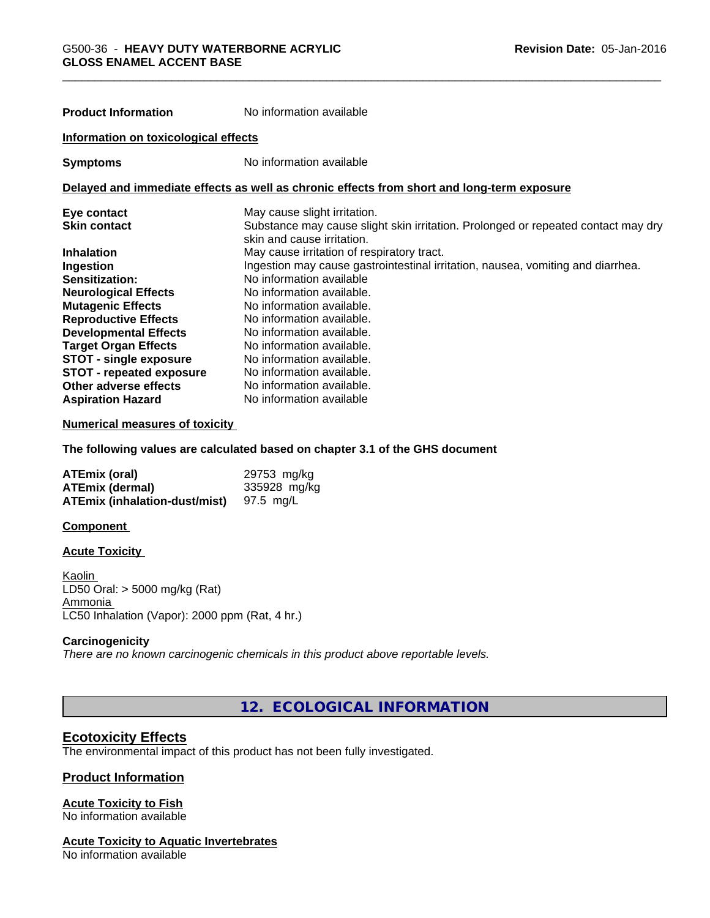| <b>Product Information</b>           | No information available                                                                                        |  |
|--------------------------------------|-----------------------------------------------------------------------------------------------------------------|--|
| Information on toxicological effects |                                                                                                                 |  |
| <b>Symptoms</b>                      | No information available                                                                                        |  |
|                                      | Delayed and immediate effects as well as chronic effects from short and long-term exposure                      |  |
| Eye contact                          | May cause slight irritation.                                                                                    |  |
| <b>Skin contact</b>                  | Substance may cause slight skin irritation. Prolonged or repeated contact may dry<br>skin and cause irritation. |  |
| <b>Inhalation</b>                    | May cause irritation of respiratory tract.                                                                      |  |
| Ingestion                            | Ingestion may cause gastrointestinal irritation, nausea, vomiting and diarrhea.                                 |  |
| <b>Sensitization:</b>                | No information available                                                                                        |  |
| <b>Neurological Effects</b>          | No information available.                                                                                       |  |
| <b>Mutagenic Effects</b>             | No information available.                                                                                       |  |
| <b>Reproductive Effects</b>          | No information available.                                                                                       |  |
| <b>Developmental Effects</b>         | No information available.                                                                                       |  |
| <b>Target Organ Effects</b>          | No information available.                                                                                       |  |
| <b>STOT - single exposure</b>        | No information available.                                                                                       |  |
| <b>STOT - repeated exposure</b>      | No information available.                                                                                       |  |
| Other adverse effects                | No information available.                                                                                       |  |

#### **Numerical measures of toxicity**

**The following values are calculated based on chapter 3.1 of the GHS document**

| <b>ATEmix (oral)</b>                 | 29753 mg/kg  |
|--------------------------------------|--------------|
| <b>ATEmix (dermal)</b>               | 335928 mg/kg |
| <b>ATEmix (inhalation-dust/mist)</b> | 97.5 mg/L    |

**Aspiration Hazard** No information available

#### **Component**

#### **Acute Toxicity**

Kaolin LD50 Oral: > 5000 mg/kg (Rat) Ammonia LC50 Inhalation (Vapor): 2000 ppm (Rat, 4 hr.)

#### **Carcinogenicity**

*There are no known carcinogenic chemicals in this product above reportable levels.*

**12. ECOLOGICAL INFORMATION**

### **Ecotoxicity Effects**

The environmental impact of this product has not been fully investigated.

## **Product Information**

#### **Acute Toxicity to Fish**

No information available

## **Acute Toxicity to Aquatic Invertebrates**

No information available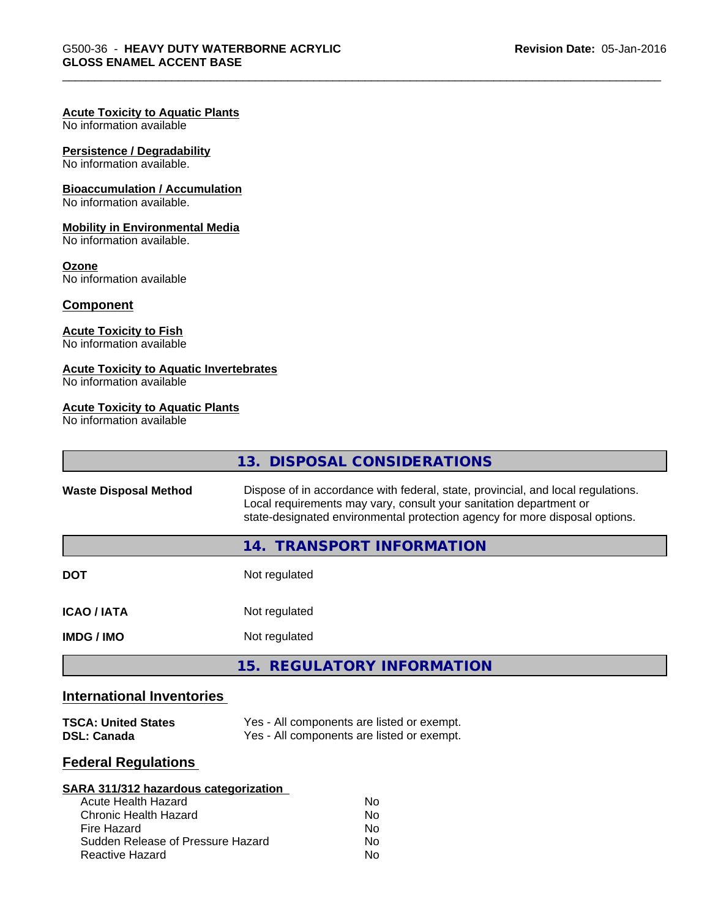#### **Acute Toxicity to Aquatic Plants**

No information available

## **Persistence / Degradability**

No information available.

#### **Bioaccumulation / Accumulation**

No information available.

#### **Mobility in Environmental Media**

No information available.

#### **Ozone**

No information available

#### **Component**

## **Acute Toxicity to Fish**

No information available

## **Acute Toxicity to Aquatic Invertebrates**

No information available

### **Acute Toxicity to Aquatic Plants**

No information available

|                              | 13. DISPOSAL CONSIDERATIONS                                                                                                                                                                                                           |  |
|------------------------------|---------------------------------------------------------------------------------------------------------------------------------------------------------------------------------------------------------------------------------------|--|
| <b>Waste Disposal Method</b> | Dispose of in accordance with federal, state, provincial, and local regulations.<br>Local requirements may vary, consult your sanitation department or<br>state-designated environmental protection agency for more disposal options. |  |
|                              | 14. TRANSPORT INFORMATION                                                                                                                                                                                                             |  |
| <b>DOT</b>                   | Not regulated                                                                                                                                                                                                                         |  |
| <b>ICAO/IATA</b>             | Not regulated                                                                                                                                                                                                                         |  |
| <b>IMDG / IMO</b>            | Not regulated                                                                                                                                                                                                                         |  |
|                              | 15. REGULATORY INFORMATION                                                                                                                                                                                                            |  |

## **International Inventories**

| <b>TSCA: United States</b> | Yes - All components are listed or exempt. |
|----------------------------|--------------------------------------------|
| DSL: Canada                | Yes - All components are listed or exempt. |

## **Federal Regulations**

| SARA 311/312 hazardous categorization |    |  |
|---------------------------------------|----|--|
| Acute Health Hazard                   | Nο |  |
| Chronic Health Hazard                 | No |  |
| Fire Hazard                           | Nο |  |
| Sudden Release of Pressure Hazard     | Nο |  |
| Reactive Hazard                       | Nο |  |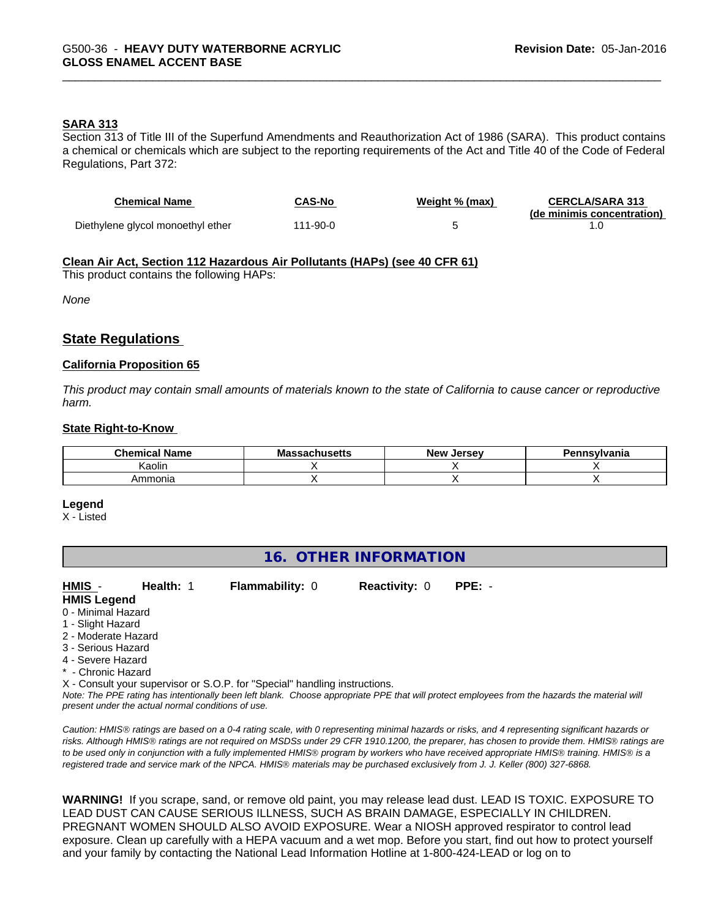## **SARA 313**

Section 313 of Title III of the Superfund Amendments and Reauthorization Act of 1986 (SARA). This product contains a chemical or chemicals which are subject to the reporting requirements of the Act and Title 40 of the Code of Federal Regulations, Part 372:

| <b>Chemical Name</b>              | CAS-No   | Weight % (max) | <b>CERCLA/SARA 313</b><br>(de minimis concentration) |
|-----------------------------------|----------|----------------|------------------------------------------------------|
| Diethylene glycol monoethyl ether | 111-90-0 |                |                                                      |

#### **Clean Air Act,Section 112 Hazardous Air Pollutants (HAPs) (see 40 CFR 61)**

This product contains the following HAPs:

*None*

## **State Regulations**

#### **California Proposition 65**

This product may contain small amounts of materials known to the state of California to cause cancer or reproductive *harm.*

#### **State Right-to-Know**

| ' Name<br><b>Chemical</b> | <b>Massachusetts</b> | . .<br>. Jersev<br><b>New</b> | ำทรงIvania |
|---------------------------|----------------------|-------------------------------|------------|
| Kaolin                    |                      |                               |            |
| Ammonia                   |                      |                               |            |

#### **Legend**

X - Listed

## **16. OTHER INFORMATION**

**HMIS** - **Health:** 1 **Flammability:** 0 **Reactivity:** 0 **PPE:** -

- **HMIS Legend**
- 0 Minimal Hazard
- 1 Slight Hazard
- 2 Moderate Hazard
- 3 Serious Hazard
- 4 Severe Hazard
- \* Chronic Hazard

X - Consult your supervisor or S.O.P. for "Special" handling instructions.

*Note: The PPE rating has intentionally been left blank. Choose appropriate PPE that will protect employees from the hazards the material will present under the actual normal conditions of use.*

*Caution: HMISÒ ratings are based on a 0-4 rating scale, with 0 representing minimal hazards or risks, and 4 representing significant hazards or risks. Although HMISÒ ratings are not required on MSDSs under 29 CFR 1910.1200, the preparer, has chosen to provide them. HMISÒ ratings are to be used only in conjunction with a fully implemented HMISÒ program by workers who have received appropriate HMISÒ training. HMISÒ is a registered trade and service mark of the NPCA. HMISÒ materials may be purchased exclusively from J. J. Keller (800) 327-6868.*

**WARNING!** If you scrape, sand, or remove old paint, you may release lead dust. LEAD IS TOXIC. EXPOSURE TO LEAD DUST CAN CAUSE SERIOUS ILLNESS, SUCH AS BRAIN DAMAGE, ESPECIALLY IN CHILDREN. PREGNANT WOMEN SHOULD ALSO AVOID EXPOSURE.Wear a NIOSH approved respirator to control lead exposure. Clean up carefully with a HEPA vacuum and a wet mop. Before you start, find out how to protect yourself and your family by contacting the National Lead Information Hotline at 1-800-424-LEAD or log on to